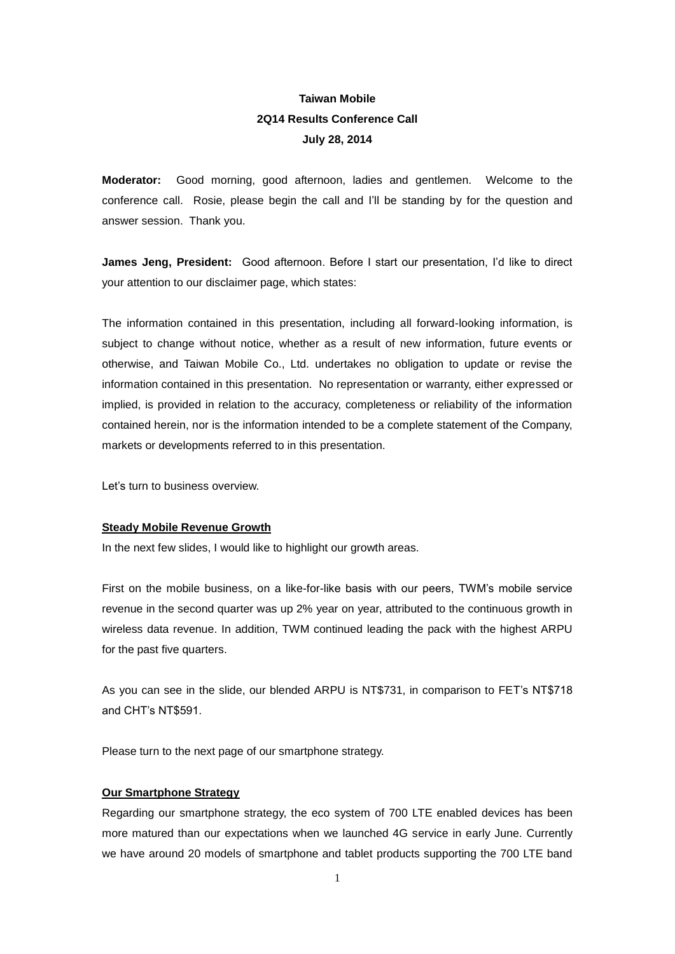## **Taiwan Mobile 2Q14 Results Conference Call July 28, 2014**

**Moderator:** Good morning, good afternoon, ladies and gentlemen. Welcome to the conference call. Rosie, please begin the call and I'll be standing by for the question and answer session. Thank you.

**James Jeng, President:** Good afternoon. Before I start our presentation, I'd like to direct your attention to our disclaimer page, which states:

The information contained in this presentation, including all forward-looking information, is subject to change without notice, whether as a result of new information, future events or otherwise, and Taiwan Mobile Co., Ltd. undertakes no obligation to update or revise the information contained in this presentation. No representation or warranty, either expressed or implied, is provided in relation to the accuracy, completeness or reliability of the information contained herein, nor is the information intended to be a complete statement of the Company, markets or developments referred to in this presentation.

Let's turn to business overview.

## **Steady Mobile Revenue Growth**

In the next few slides, I would like to highlight our growth areas.

First on the mobile business, on a like-for-like basis with our peers, TWM's mobile service revenue in the second quarter was up 2% year on year, attributed to the continuous growth in wireless data revenue. In addition, TWM continued leading the pack with the highest ARPU for the past five quarters.

As you can see in the slide, our blended ARPU is NT\$731, in comparison to FET's NT\$718 and CHT's NT\$591.

Please turn to the next page of our smartphone strategy.

## **Our Smartphone Strategy**

Regarding our smartphone strategy, the eco system of 700 LTE enabled devices has been more matured than our expectations when we launched 4G service in early June. Currently we have around 20 models of smartphone and tablet products supporting the 700 LTE band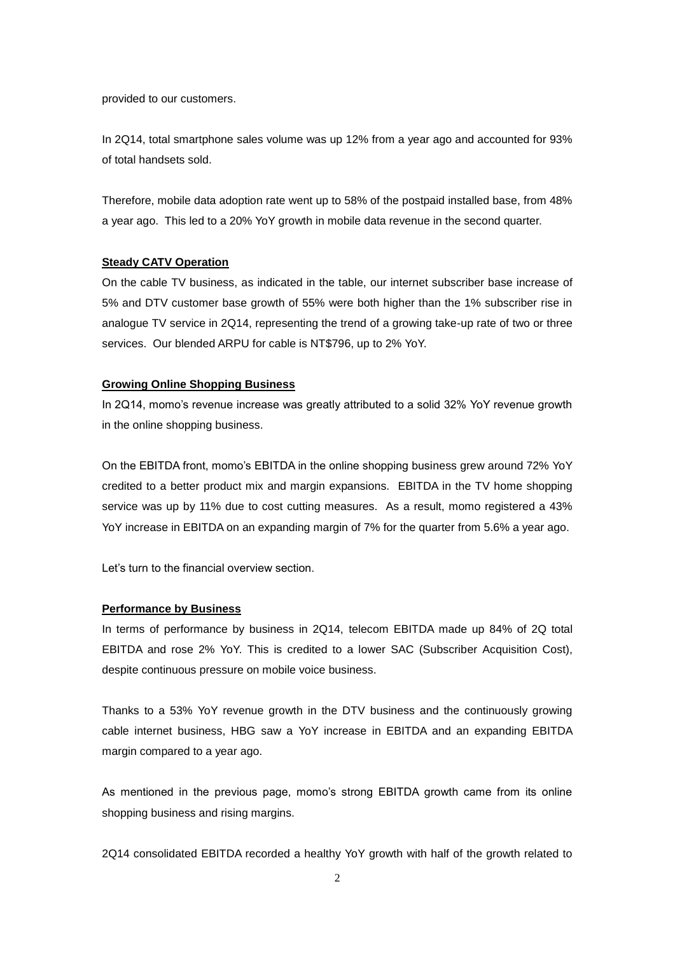provided to our customers.

In 2Q14, total smartphone sales volume was up 12% from a year ago and accounted for 93% of total handsets sold.

Therefore, mobile data adoption rate went up to 58% of the postpaid installed base, from 48% a year ago. This led to a 20% YoY growth in mobile data revenue in the second quarter.

## **Steady CATV Operation**

On the cable TV business, as indicated in the table, our internet subscriber base increase of 5% and DTV customer base growth of 55% were both higher than the 1% subscriber rise in analogue TV service in 2Q14, representing the trend of a growing take-up rate of two or three services. Our blended ARPU for cable is NT\$796, up to 2% YoY.

#### **Growing Online Shopping Business**

In 2Q14, momo's revenue increase was greatly attributed to a solid 32% YoY revenue growth in the online shopping business.

On the EBITDA front, momo's EBITDA in the online shopping business grew around 72% YoY credited to a better product mix and margin expansions. EBITDA in the TV home shopping service was up by 11% due to cost cutting measures. As a result, momo registered a 43% YoY increase in EBITDA on an expanding margin of 7% for the quarter from 5.6% a year ago.

Let's turn to the financial overview section.

### **Performance by Business**

In terms of performance by business in 2Q14, telecom EBITDA made up 84% of 2Q total EBITDA and rose 2% YoY. This is credited to a lower SAC (Subscriber Acquisition Cost), despite continuous pressure on mobile voice business.

Thanks to a 53% YoY revenue growth in the DTV business and the continuously growing cable internet business, HBG saw a YoY increase in EBITDA and an expanding EBITDA margin compared to a year ago.

As mentioned in the previous page, momo's strong EBITDA growth came from its online shopping business and rising margins.

2Q14 consolidated EBITDA recorded a healthy YoY growth with half of the growth related to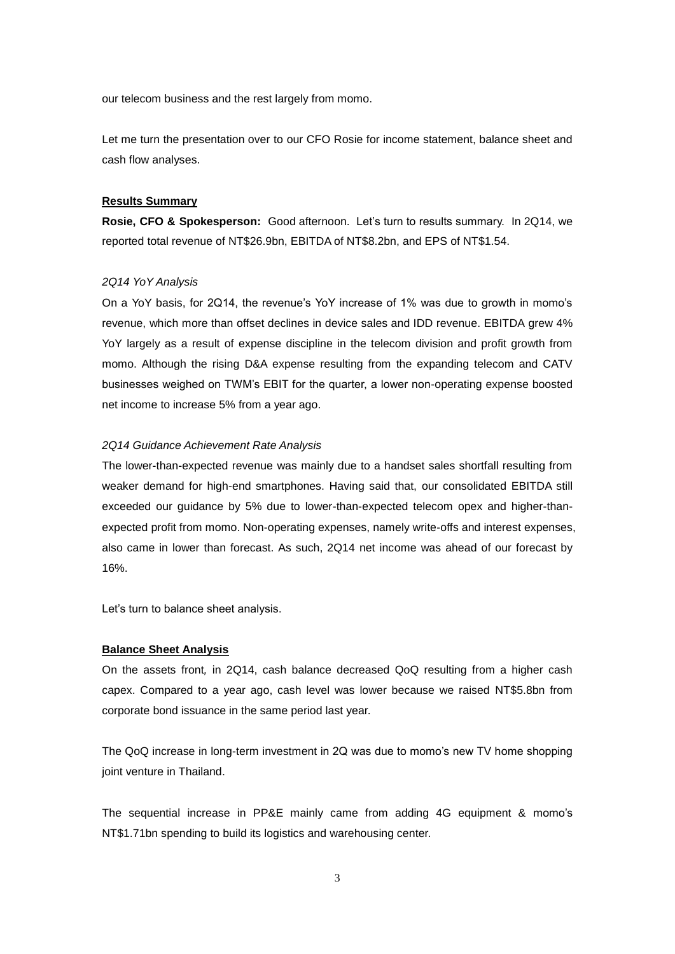our telecom business and the rest largely from momo.

Let me turn the presentation over to our CFO Rosie for income statement, balance sheet and cash flow analyses.

## **Results Summary**

**Rosie, CFO & Spokesperson:** Good afternoon. Let's turn to results summary. In 2Q14, we reported total revenue of NT\$26.9bn, EBITDA of NT\$8.2bn, and EPS of NT\$1.54.

## *2Q14 YoY Analysis*

On a YoY basis, for 2Q14, the revenue's YoY increase of 1% was due to growth in momo's revenue, which more than offset declines in device sales and IDD revenue. EBITDA grew 4% YoY largely as a result of expense discipline in the telecom division and profit growth from momo. Although the rising D&A expense resulting from the expanding telecom and CATV businesses weighed on TWM's EBIT for the quarter, a lower non-operating expense boosted net income to increase 5% from a year ago.

## *2Q14 Guidance Achievement Rate Analysis*

The lower-than-expected revenue was mainly due to a handset sales shortfall resulting from weaker demand for high-end smartphones. Having said that, our consolidated EBITDA still exceeded our guidance by 5% due to lower-than-expected telecom opex and higher-thanexpected profit from momo. Non-operating expenses, namely write-offs and interest expenses, also came in lower than forecast. As such, 2Q14 net income was ahead of our forecast by 16%.

Let's turn to balance sheet analysis.

## **Balance Sheet Analysis**

On the assets front*,* in 2Q14, cash balance decreased QoQ resulting from a higher cash capex. Compared to a year ago, cash level was lower because we raised NT\$5.8bn from corporate bond issuance in the same period last year.

The QoQ increase in long-term investment in 2Q was due to momo's new TV home shopping joint venture in Thailand.

The sequential increase in PP&E mainly came from adding 4G equipment & momo's NT\$1.71bn spending to build its logistics and warehousing center.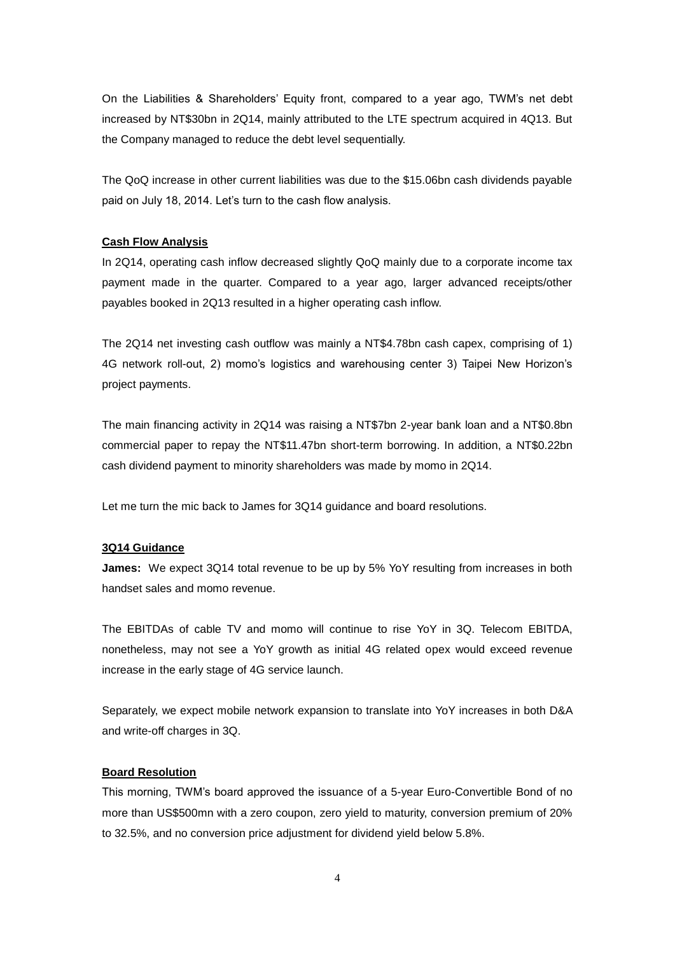On the Liabilities & Shareholders' Equity front, compared to a year ago, TWM's net debt increased by NT\$30bn in 2Q14, mainly attributed to the LTE spectrum acquired in 4Q13. But the Company managed to reduce the debt level sequentially.

The QoQ increase in other current liabilities was due to the \$15.06bn cash dividends payable paid on July 18, 2014. Let's turn to the cash flow analysis.

## **Cash Flow Analysis**

In 2Q14, operating cash inflow decreased slightly QoQ mainly due to a corporate income tax payment made in the quarter. Compared to a year ago, larger advanced receipts/other payables booked in 2Q13 resulted in a higher operating cash inflow.

The 2Q14 net investing cash outflow was mainly a NT\$4.78bn cash capex, comprising of 1) 4G network roll-out, 2) momo's logistics and warehousing center 3) Taipei New Horizon's project payments.

The main financing activity in 2Q14 was raising a NT\$7bn 2-year bank loan and a NT\$0.8bn commercial paper to repay the NT\$11.47bn short-term borrowing. In addition, a NT\$0.22bn cash dividend payment to minority shareholders was made by momo in 2Q14.

Let me turn the mic back to James for 3Q14 guidance and board resolutions.

## **3Q14 Guidance**

**James:** We expect 3Q14 total revenue to be up by 5% YoY resulting from increases in both handset sales and momo revenue.

The EBITDAs of cable TV and momo will continue to rise YoY in 3Q. Telecom EBITDA, nonetheless, may not see a YoY growth as initial 4G related opex would exceed revenue increase in the early stage of 4G service launch.

Separately, we expect mobile network expansion to translate into YoY increases in both D&A and write-off charges in 3Q.

## **Board Resolution**

This morning, TWM's board approved the issuance of a 5-year Euro-Convertible Bond of no more than US\$500mn with a zero coupon, zero yield to maturity, conversion premium of 20% to 32.5%, and no conversion price adjustment for dividend yield below 5.8%.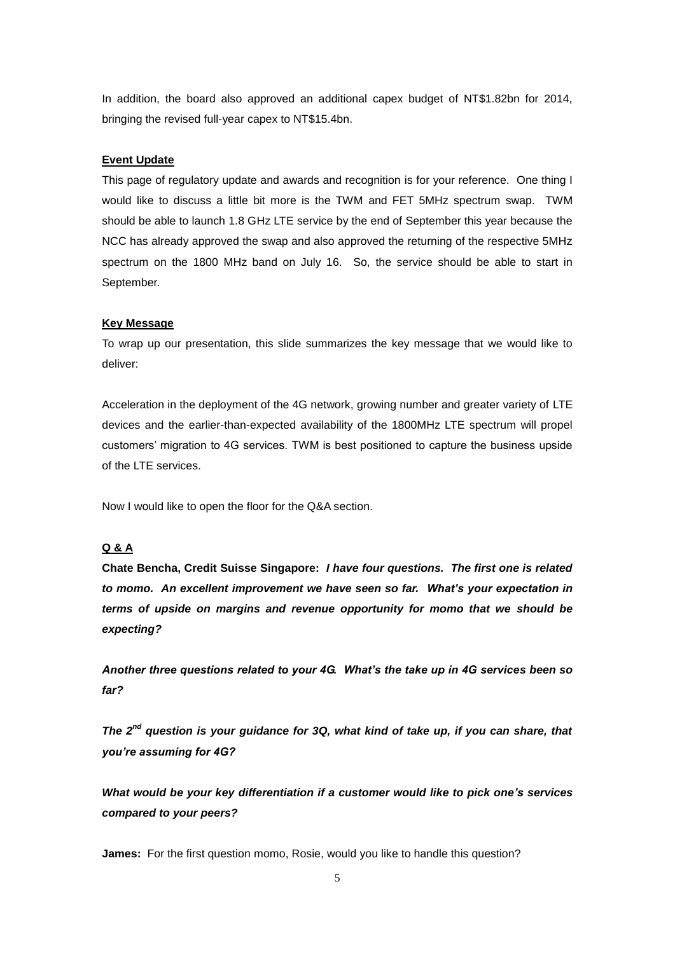In addition, the board also approved an additional capex budget of NT\$1.82bn for 2014, bringing the revised full-year capex to NT\$15.4bn.

## **Event Update**

This page of regulatory update and awards and recognition is for your reference. One thing I would like to discuss a little bit more is the TWM and FET 5MHz spectrum swap. TWM should be able to launch 1.8 GHz LTE service by the end of September this year because the NCC has already approved the swap and also approved the returning of the respective 5MHz spectrum on the 1800 MHz band on July 16. So, the service should be able to start in September.

#### **Key Message**

To wrap up our presentation, this slide summarizes the key message that we would like to deliver:

Acceleration in the deployment of the 4G network, growing number and greater variety of LTE devices and the earlier-than-expected availability of the 1800MHz LTE spectrum will propel customers' migration to 4G services. TWM is best positioned to capture the business upside of the LTE services.

Now I would like to open the floor for the Q&A section.

## **Q & A**

**Chate Bencha, Credit Suisse Singapore:** *I have four questions. The first one is related to momo. An excellent improvement we have seen so far. What's your expectation in terms of upside on margins and revenue opportunity for momo that we should be expecting?*

*Another three questions related to your 4G. What's the take up in 4G services been so far?* 

*The 2nd question is your guidance for 3Q, what kind of take up, if you can share, that you're assuming for 4G?*

*What would be your key differentiation if a customer would like to pick one's services compared to your peers?*

**James:** For the first question momo, Rosie, would you like to handle this question?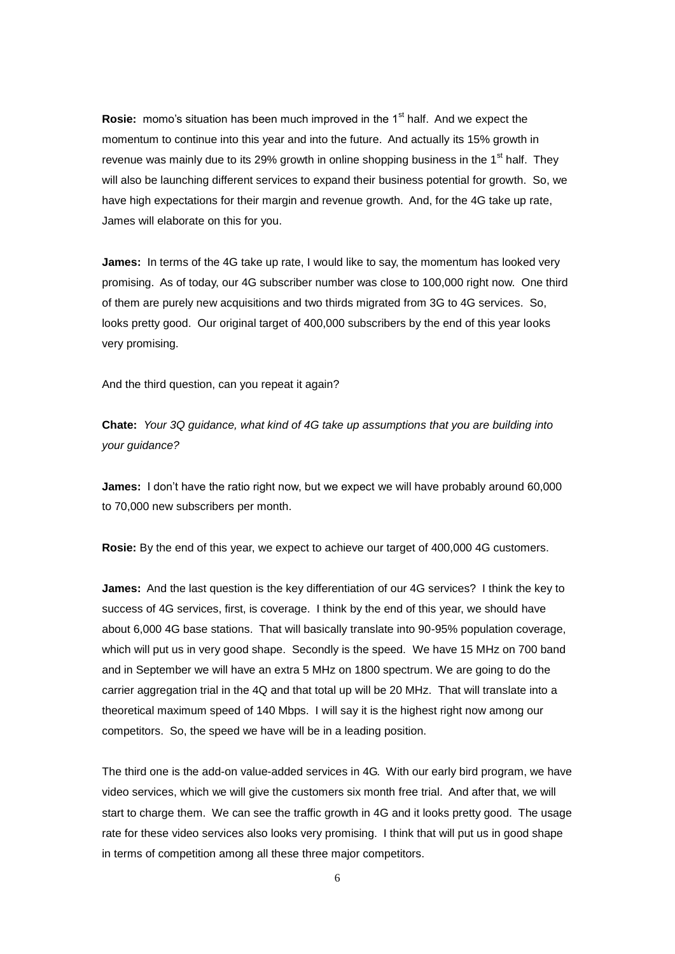**Rosie:** momo's situation has been much improved in the 1<sup>st</sup> half. And we expect the momentum to continue into this year and into the future. And actually its 15% growth in revenue was mainly due to its 29% growth in online shopping business in the  $1<sup>st</sup>$  half. They will also be launching different services to expand their business potential for growth. So, we have high expectations for their margin and revenue growth. And, for the 4G take up rate, James will elaborate on this for you.

**James:** In terms of the 4G take up rate, I would like to say, the momentum has looked very promising. As of today, our 4G subscriber number was close to 100,000 right now. One third of them are purely new acquisitions and two thirds migrated from 3G to 4G services. So, looks pretty good. Our original target of 400,000 subscribers by the end of this year looks very promising.

And the third question, can you repeat it again?

**Chate:** *Your 3Q guidance, what kind of 4G take up assumptions that you are building into your guidance?*

**James:** I don't have the ratio right now, but we expect we will have probably around 60,000 to 70,000 new subscribers per month.

**Rosie:** By the end of this year, we expect to achieve our target of 400,000 4G customers.

**James:** And the last question is the key differentiation of our 4G services? I think the key to success of 4G services, first, is coverage. I think by the end of this year, we should have about 6,000 4G base stations. That will basically translate into 90-95% population coverage, which will put us in very good shape. Secondly is the speed. We have 15 MHz on 700 band and in September we will have an extra 5 MHz on 1800 spectrum. We are going to do the carrier aggregation trial in the 4Q and that total up will be 20 MHz. That will translate into a theoretical maximum speed of 140 Mbps. I will say it is the highest right now among our competitors. So, the speed we have will be in a leading position.

The third one is the add-on value-added services in 4G. With our early bird program, we have video services, which we will give the customers six month free trial. And after that, we will start to charge them. We can see the traffic growth in 4G and it looks pretty good. The usage rate for these video services also looks very promising. I think that will put us in good shape in terms of competition among all these three major competitors.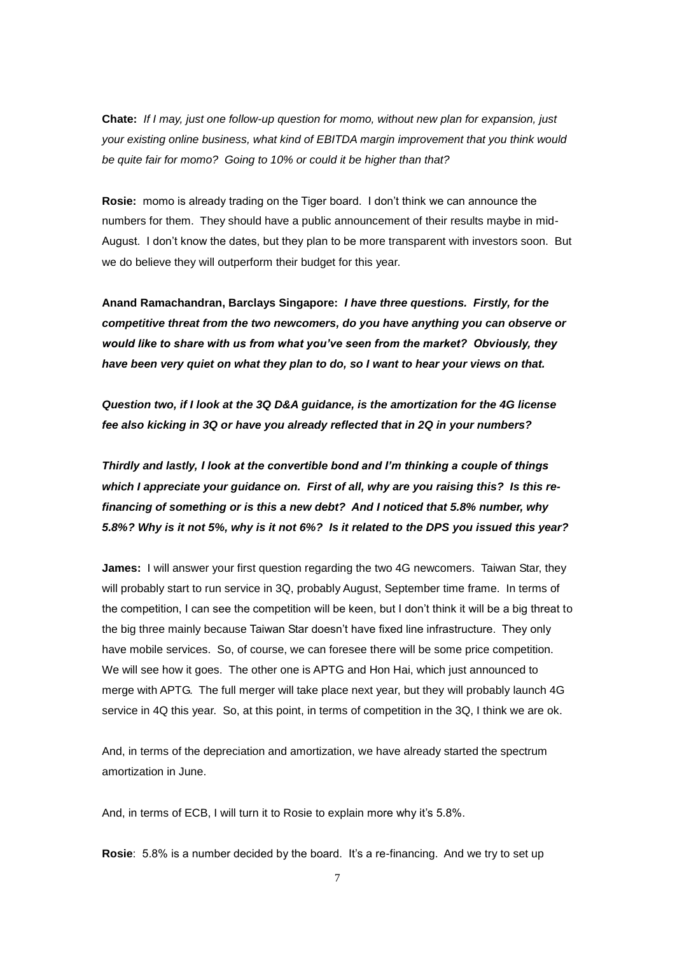**Chate:** *If I may, just one follow-up question for momo, without new plan for expansion, just your existing online business, what kind of EBITDA margin improvement that you think would be quite fair for momo? Going to 10% or could it be higher than that?*

**Rosie:** momo is already trading on the Tiger board. I don't think we can announce the numbers for them. They should have a public announcement of their results maybe in mid-August. I don't know the dates, but they plan to be more transparent with investors soon. But we do believe they will outperform their budget for this year.

**Anand Ramachandran, Barclays Singapore:** *I have three questions. Firstly, for the competitive threat from the two newcomers, do you have anything you can observe or would like to share with us from what you've seen from the market? Obviously, they have been very quiet on what they plan to do, so I want to hear your views on that.*

*Question two, if I look at the 3Q D&A guidance, is the amortization for the 4G license fee also kicking in 3Q or have you already reflected that in 2Q in your numbers?* 

*Thirdly and lastly, I look at the convertible bond and I'm thinking a couple of things which I appreciate your guidance on. First of all, why are you raising this? Is this refinancing of something or is this a new debt? And I noticed that 5.8% number, why 5.8%? Why is it not 5%, why is it not 6%? Is it related to the DPS you issued this year?*

**James:** I will answer your first question regarding the two 4G newcomers. Taiwan Star, they will probably start to run service in 3Q, probably August, September time frame. In terms of the competition, I can see the competition will be keen, but I don't think it will be a big threat to the big three mainly because Taiwan Star doesn't have fixed line infrastructure. They only have mobile services. So, of course, we can foresee there will be some price competition. We will see how it goes. The other one is APTG and Hon Hai, which just announced to merge with APTG. The full merger will take place next year, but they will probably launch 4G service in 4Q this year. So, at this point, in terms of competition in the 3Q, I think we are ok.

And, in terms of the depreciation and amortization, we have already started the spectrum amortization in June.

And, in terms of ECB, I will turn it to Rosie to explain more why it's 5.8%.

**Rosie**: 5.8% is a number decided by the board. It's a re-financing. And we try to set up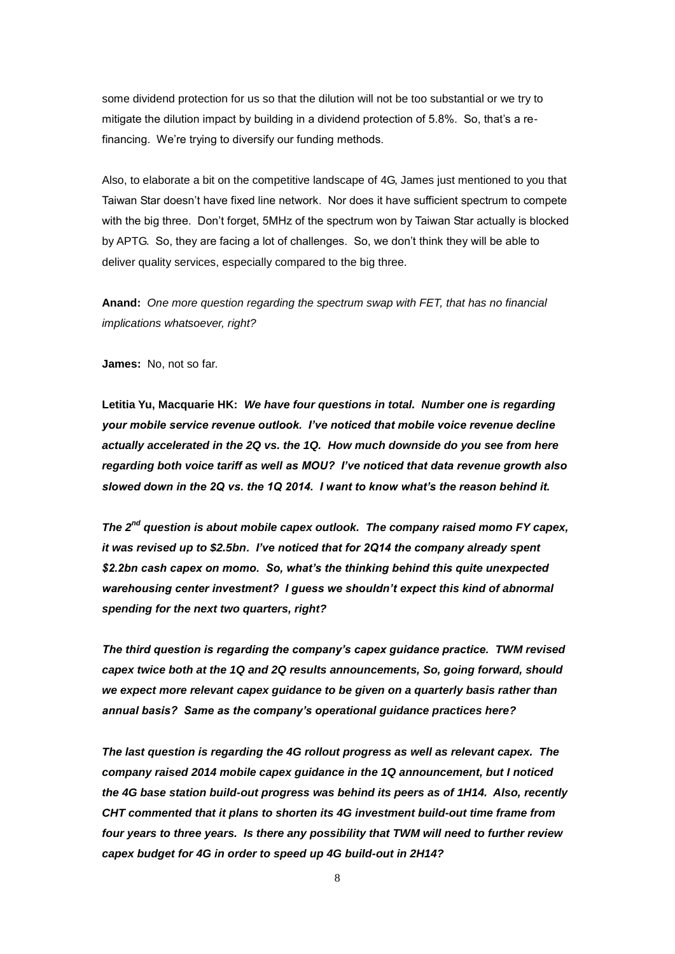some dividend protection for us so that the dilution will not be too substantial or we try to mitigate the dilution impact by building in a dividend protection of 5.8%. So, that's a refinancing. We're trying to diversify our funding methods.

Also, to elaborate a bit on the competitive landscape of 4G, James just mentioned to you that Taiwan Star doesn't have fixed line network. Nor does it have sufficient spectrum to compete with the big three. Don't forget, 5MHz of the spectrum won by Taiwan Star actually is blocked by APTG. So, they are facing a lot of challenges. So, we don't think they will be able to deliver quality services, especially compared to the big three.

**Anand:** *One more question regarding the spectrum swap with FET, that has no financial implications whatsoever, right?*

**James:** No, not so far.

**Letitia Yu, Macquarie HK:** *We have four questions in total. Number one is regarding your mobile service revenue outlook. I've noticed that mobile voice revenue decline actually accelerated in the 2Q vs. the 1Q. How much downside do you see from here regarding both voice tariff as well as MOU? I've noticed that data revenue growth also slowed down in the 2Q vs. the 1Q 2014. I want to know what's the reason behind it.*

*The 2nd question is about mobile capex outlook. The company raised momo FY capex, it was revised up to \$2.5bn. I've noticed that for 2Q14 the company already spent \$2.2bn cash capex on momo. So, what's the thinking behind this quite unexpected warehousing center investment? I guess we shouldn't expect this kind of abnormal spending for the next two quarters, right?*

*The third question is regarding the company's capex guidance practice. TWM revised capex twice both at the 1Q and 2Q results announcements, So, going forward, should we expect more relevant capex guidance to be given on a quarterly basis rather than annual basis? Same as the company's operational guidance practices here?*

*The last question is regarding the 4G rollout progress as well as relevant capex. The company raised 2014 mobile capex guidance in the 1Q announcement, but I noticed the 4G base station build-out progress was behind its peers as of 1H14. Also, recently CHT commented that it plans to shorten its 4G investment build-out time frame from four years to three years. Is there any possibility that TWM will need to further review capex budget for 4G in order to speed up 4G build-out in 2H14?*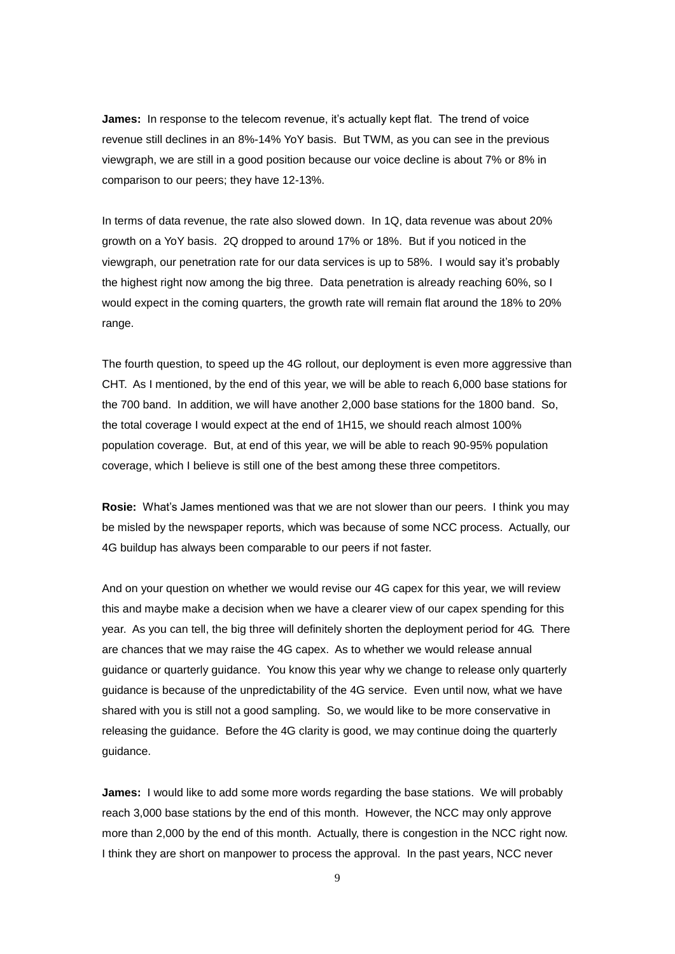**James:** In response to the telecom revenue, it's actually kept flat. The trend of voice revenue still declines in an 8%-14% YoY basis. But TWM, as you can see in the previous viewgraph, we are still in a good position because our voice decline is about 7% or 8% in comparison to our peers; they have 12-13%.

In terms of data revenue, the rate also slowed down. In 1Q, data revenue was about 20% growth on a YoY basis. 2Q dropped to around 17% or 18%. But if you noticed in the viewgraph, our penetration rate for our data services is up to 58%. I would say it's probably the highest right now among the big three. Data penetration is already reaching 60%, so I would expect in the coming quarters, the growth rate will remain flat around the 18% to 20% range.

The fourth question, to speed up the 4G rollout, our deployment is even more aggressive than CHT. As I mentioned, by the end of this year, we will be able to reach 6,000 base stations for the 700 band. In addition, we will have another 2,000 base stations for the 1800 band. So, the total coverage I would expect at the end of 1H15, we should reach almost 100% population coverage. But, at end of this year, we will be able to reach 90-95% population coverage, which I believe is still one of the best among these three competitors.

**Rosie:** What's James mentioned was that we are not slower than our peers. I think you may be misled by the newspaper reports, which was because of some NCC process. Actually, our 4G buildup has always been comparable to our peers if not faster.

And on your question on whether we would revise our 4G capex for this year, we will review this and maybe make a decision when we have a clearer view of our capex spending for this year. As you can tell, the big three will definitely shorten the deployment period for 4G. There are chances that we may raise the 4G capex. As to whether we would release annual guidance or quarterly guidance. You know this year why we change to release only quarterly guidance is because of the unpredictability of the 4G service. Even until now, what we have shared with you is still not a good sampling. So, we would like to be more conservative in releasing the guidance. Before the 4G clarity is good, we may continue doing the quarterly guidance.

**James:** I would like to add some more words regarding the base stations. We will probably reach 3,000 base stations by the end of this month. However, the NCC may only approve more than 2,000 by the end of this month. Actually, there is congestion in the NCC right now. I think they are short on manpower to process the approval. In the past years, NCC never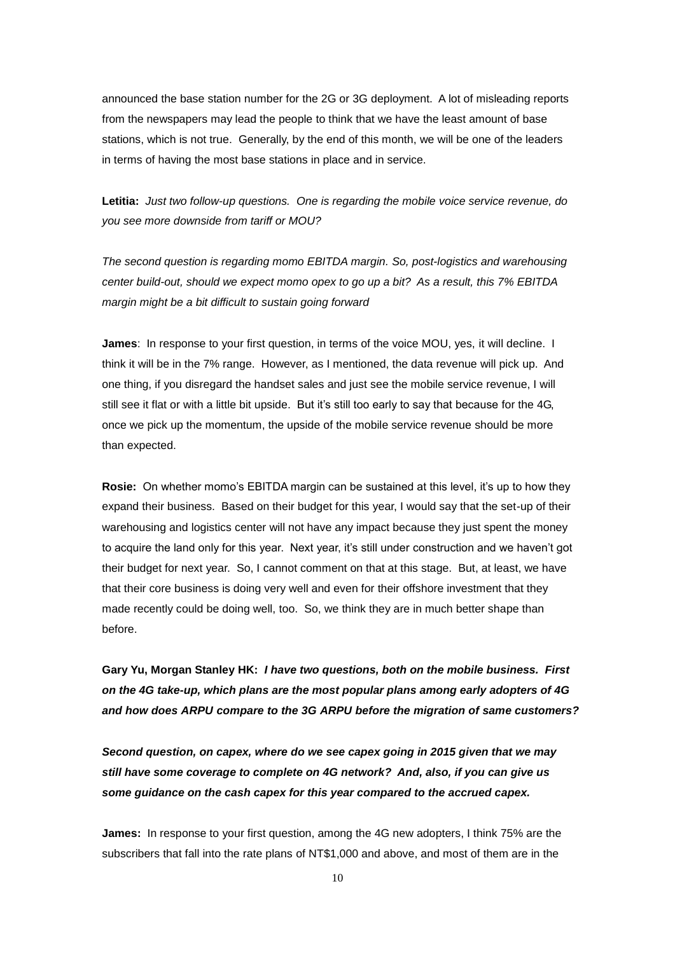announced the base station number for the 2G or 3G deployment. A lot of misleading reports from the newspapers may lead the people to think that we have the least amount of base stations, which is not true. Generally, by the end of this month, we will be one of the leaders in terms of having the most base stations in place and in service.

**Letitia:** *Just two follow-up questions. One is regarding the mobile voice service revenue, do you see more downside from tariff or MOU?* 

*The second question is regarding momo EBITDA margin. So, post-logistics and warehousing center build-out, should we expect momo opex to go up a bit? As a result, this 7% EBITDA margin might be a bit difficult to sustain going forward*

**James**: In response to your first question, in terms of the voice MOU, yes, it will decline. I think it will be in the 7% range. However, as I mentioned, the data revenue will pick up. And one thing, if you disregard the handset sales and just see the mobile service revenue, I will still see it flat or with a little bit upside. But it's still too early to say that because for the 4G, once we pick up the momentum, the upside of the mobile service revenue should be more than expected.

**Rosie:** On whether momo's EBITDA margin can be sustained at this level, it's up to how they expand their business. Based on their budget for this year, I would say that the set-up of their warehousing and logistics center will not have any impact because they just spent the money to acquire the land only for this year. Next year, it's still under construction and we haven't got their budget for next year. So, I cannot comment on that at this stage. But, at least, we have that their core business is doing very well and even for their offshore investment that they made recently could be doing well, too. So, we think they are in much better shape than before.

**Gary Yu, Morgan Stanley HK:** *I have two questions, both on the mobile business. First on the 4G take-up, which plans are the most popular plans among early adopters of 4G and how does ARPU compare to the 3G ARPU before the migration of same customers?*

*Second question, on capex, where do we see capex going in 2015 given that we may still have some coverage to complete on 4G network? And, also, if you can give us some guidance on the cash capex for this year compared to the accrued capex.*

**James:** In response to your first question, among the 4G new adopters, I think 75% are the subscribers that fall into the rate plans of NT\$1,000 and above, and most of them are in the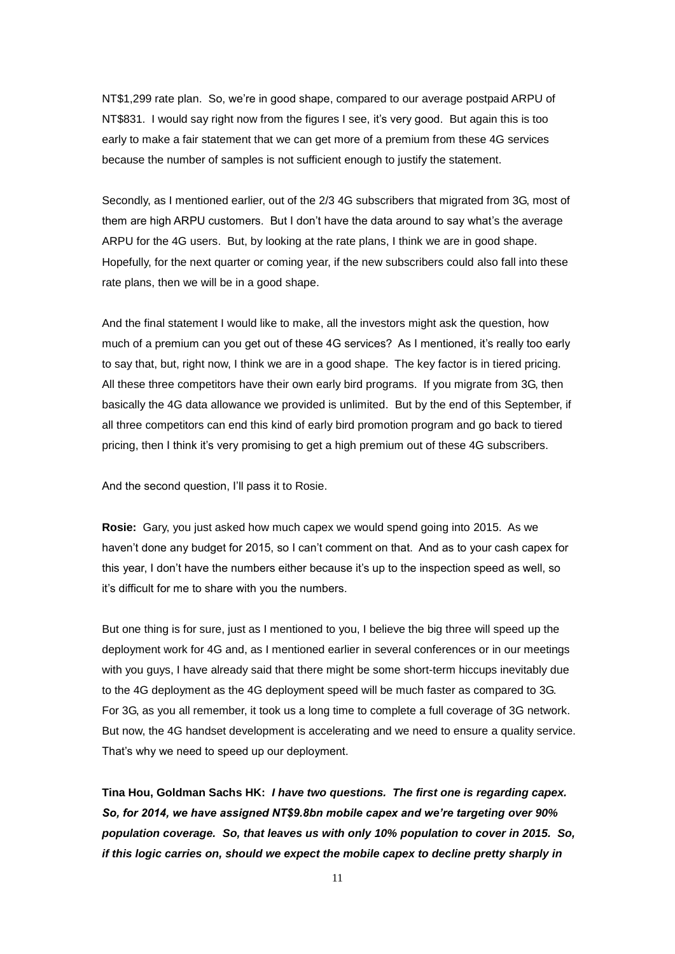NT\$1,299 rate plan. So, we're in good shape, compared to our average postpaid ARPU of NT\$831. I would say right now from the figures I see, it's very good. But again this is too early to make a fair statement that we can get more of a premium from these 4G services because the number of samples is not sufficient enough to justify the statement.

Secondly, as I mentioned earlier, out of the 2/3 4G subscribers that migrated from 3G, most of them are high ARPU customers. But I don't have the data around to say what's the average ARPU for the 4G users. But, by looking at the rate plans, I think we are in good shape. Hopefully, for the next quarter or coming year, if the new subscribers could also fall into these rate plans, then we will be in a good shape.

And the final statement I would like to make, all the investors might ask the question, how much of a premium can you get out of these 4G services? As I mentioned, it's really too early to say that, but, right now, I think we are in a good shape. The key factor is in tiered pricing. All these three competitors have their own early bird programs. If you migrate from 3G, then basically the 4G data allowance we provided is unlimited. But by the end of this September, if all three competitors can end this kind of early bird promotion program and go back to tiered pricing, then I think it's very promising to get a high premium out of these 4G subscribers.

And the second question, I'll pass it to Rosie.

**Rosie:** Gary, you just asked how much capex we would spend going into 2015. As we haven't done any budget for 2015, so I can't comment on that. And as to your cash capex for this year, I don't have the numbers either because it's up to the inspection speed as well, so it's difficult for me to share with you the numbers.

But one thing is for sure, just as I mentioned to you, I believe the big three will speed up the deployment work for 4G and, as I mentioned earlier in several conferences or in our meetings with you guys, I have already said that there might be some short-term hiccups inevitably due to the 4G deployment as the 4G deployment speed will be much faster as compared to 3G. For 3G, as you all remember, it took us a long time to complete a full coverage of 3G network. But now, the 4G handset development is accelerating and we need to ensure a quality service. That's why we need to speed up our deployment.

**Tina Hou, Goldman Sachs HK:** *I have two questions. The first one is regarding capex. So, for 2014, we have assigned NT\$9.8bn mobile capex and we're targeting over 90% population coverage. So, that leaves us with only 10% population to cover in 2015. So, if this logic carries on, should we expect the mobile capex to decline pretty sharply in*